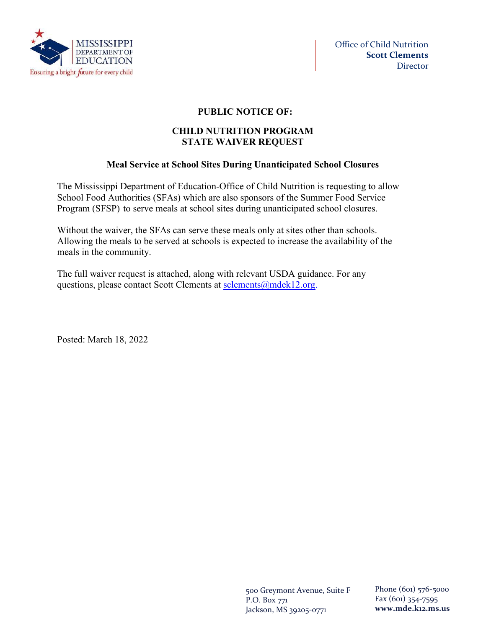

## **PUBLIC NOTICE OF:**

### **CHILD NUTRITION PROGRAM STATE WAIVER REQUEST**

# **Meal Service at School Sites During Unanticipated School Closures**

The Mississippi Department of Education-Office of Child Nutrition is requesting to allow School Food Authorities (SFAs) which are also sponsors of the Summer Food Service Program (SFSP) to serve meals at school sites during unanticipated school closures.

Without the waiver, the SFAs can serve these meals only at sites other than schools. Allowing the meals to be served at schools is expected to increase the availability of the meals in the community.

The full waiver request is attached, along with relevant USDA guidance. For any questions, please contact Scott Clements at [sclements@mdek12.org.](mailto:sclements@mdek12.org)

Posted: March 18, 2022

500 Greymont Avenue, Suite F P.O. Box 771 Jackson, MS 39205-0771

Phone (601) 576-5000 Fax (601) 354-7595 **www.mde.k12.ms.us**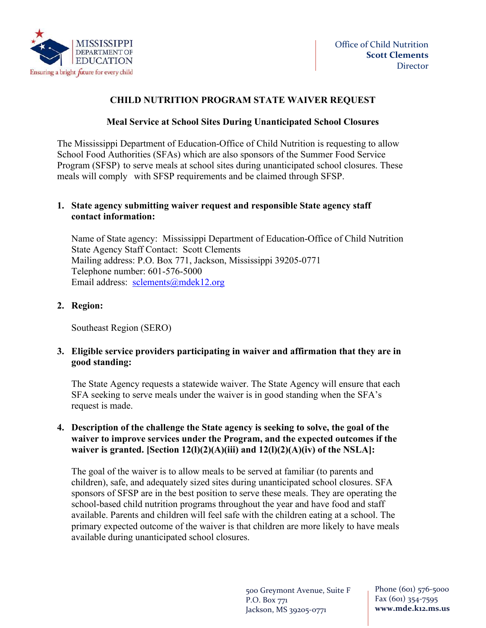

# **CHILD NUTRITION PROGRAM STATE WAIVER REQUEST**

### **Meal Service at School Sites During Unanticipated School Closures**

The Mississippi Department of Education-Office of Child Nutrition is requesting to allow School Food Authorities (SFAs) which are also sponsors of the Summer Food Service Program (SFSP) to serve meals at school sites during unanticipated school closures. These meals will comply with SFSP requirements and be claimed through SFSP.

### **1. State agency submitting waiver request and responsible State agency staff contact information:**

Name of State agency: Mississippi Department of Education-Office of Child Nutrition State Agency Staff Contact: Scott Clements Mailing address: P.O. Box 771, Jackson, Mississippi 39205-0771 Telephone number: 601-576-5000 Email address: [sclements@mdek12.org](mailto:sclements@mdek12.org) 

## **2. Region:**

Southeast Region (SERO)

#### **3. Eligible service providers participating in waiver and affirmation that they are in good standing:**

The State Agency requests a statewide waiver. The State Agency will ensure that each SFA seeking to serve meals under the waiver is in good standing when the SFA's request is made.

#### **4. Description of the challenge the State agency is seeking to solve, the goal of the waiver to improve services under the Program, and the expected outcomes if the waiver is granted. [Section 12(l)(2)(A)(iii) and 12(l)(2)(A)(iv) of the NSLA]:**

The goal of the waiver is to allow meals to be served at familiar (to parents and children), safe, and adequately sized sites during unanticipated school closures. SFA sponsors of SFSP are in the best position to serve these meals. They are operating the school-based child nutrition programs throughout the year and have food and staff available. Parents and children will feel safe with the children eating at a school. The primary expected outcome of the waiver is that children are more likely to have meals available during unanticipated school closures.

> 500 Greymont Avenue, Suite F P.O. Box 771 Jackson, MS 39205-0771

Phone (601) 576-5000 Fax (601) 354-7595 **www.mde.k12.ms.us**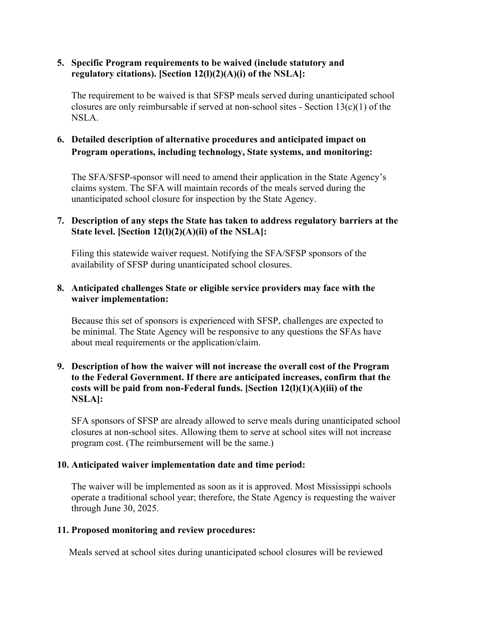### **5. Specific Program requirements to be waived (include statutory and regulatory citations). [Section 12(l)(2)(A)(i) of the NSLA]:**

The requirement to be waived is that SFSP meals served during unanticipated school closures are only reimbursable if served at non-school sites - Section 13(c)(1) of the NSLA.

# **6. Detailed description of alternative procedures and anticipated impact on Program operations, including technology, State systems, and monitoring:**

The SFA/SFSP-sponsor will need to amend their application in the State Agency's claims system. The SFA will maintain records of the meals served during the unanticipated school closure for inspection by the State Agency.

### **7. Description of any steps the State has taken to address regulatory barriers at the State level. [Section 12(l)(2)(A)(ii) of the NSLA]:**

Filing this statewide waiver request. Notifying the SFA/SFSP sponsors of the availability of SFSP during unanticipated school closures.

#### **8. Anticipated challenges State or eligible service providers may face with the waiver implementation:**

Because this set of sponsors is experienced with SFSP, challenges are expected to be minimal. The State Agency will be responsive to any questions the SFAs have about meal requirements or the application/claim.

#### **9. Description of how the waiver will not increase the overall cost of the Program to the Federal Government. If there are anticipated increases, confirm that the costs will be paid from non-Federal funds. [Section 12(l)(1)(A)(iii) of the NSLA]:**

SFA sponsors of SFSP are already allowed to serve meals during unanticipated school closures at non-school sites. Allowing them to serve at school sites will not increase program cost. (The reimbursement will be the same.)

## **10. Anticipated waiver implementation date and time period:**

The waiver will be implemented as soon as it is approved. Most Mississippi schools operate a traditional school year; therefore, the State Agency is requesting the waiver through June 30, 2025.

#### **11. Proposed monitoring and review procedures:**

Meals served at school sites during unanticipated school closures will be reviewed